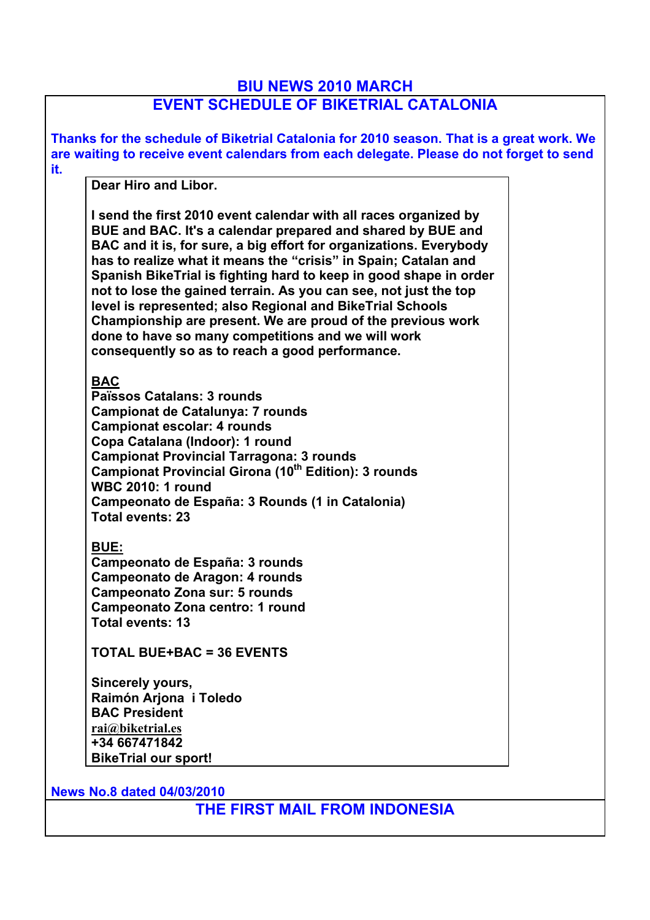## **BIU NEWS 2010 MARCH**

## **EVENT SCHEDULE OF BIKETRIAL CATALONIA**

| Thanks for the schedule of Biketrial Catalonia for 2010 season. That is a great work. We<br>are waiting to receive event calendars from each delegate. Please do not forget to send                                                                                                                                                                                                                                                                                                                                                                                                                 |
|-----------------------------------------------------------------------------------------------------------------------------------------------------------------------------------------------------------------------------------------------------------------------------------------------------------------------------------------------------------------------------------------------------------------------------------------------------------------------------------------------------------------------------------------------------------------------------------------------------|
| it.                                                                                                                                                                                                                                                                                                                                                                                                                                                                                                                                                                                                 |
| Dear Hiro and Libor.                                                                                                                                                                                                                                                                                                                                                                                                                                                                                                                                                                                |
| I send the first 2010 event calendar with all races organized by<br>BUE and BAC. It's a calendar prepared and shared by BUE and<br>BAC and it is, for sure, a big effort for organizations. Everybody<br>has to realize what it means the "crisis" in Spain; Catalan and<br>Spanish BikeTrial is fighting hard to keep in good shape in order<br>not to lose the gained terrain. As you can see, not just the top<br>level is represented; also Regional and BikeTrial Schools<br>Championship are present. We are proud of the previous work<br>done to have so many competitions and we will work |
| consequently so as to reach a good performance.                                                                                                                                                                                                                                                                                                                                                                                                                                                                                                                                                     |
| <b>BAC</b><br>Païssos Catalans: 3 rounds<br><b>Campionat de Catalunya: 7 rounds</b><br><b>Campionat escolar: 4 rounds</b><br>Copa Catalana (Indoor): 1 round<br><b>Campionat Provincial Tarragona: 3 rounds</b><br>Campionat Provincial Girona (10 <sup>th</sup> Edition): 3 rounds<br><b>WBC 2010: 1 round</b><br>Campeonato de España: 3 Rounds (1 in Catalonia)<br><b>Total events: 23</b><br><b>BUE:</b><br>Campeonato de España: 3 rounds<br>Campeonato de Aragon: 4 rounds                                                                                                                    |
| <b>Campeonato Zona sur: 5 rounds</b>                                                                                                                                                                                                                                                                                                                                                                                                                                                                                                                                                                |
| Campeonato Zona centro: 1 round                                                                                                                                                                                                                                                                                                                                                                                                                                                                                                                                                                     |
| <b>Total events: 13</b>                                                                                                                                                                                                                                                                                                                                                                                                                                                                                                                                                                             |
| <b>TOTAL BUE+BAC = 36 EVENTS</b>                                                                                                                                                                                                                                                                                                                                                                                                                                                                                                                                                                    |
| Sincerely yours,                                                                                                                                                                                                                                                                                                                                                                                                                                                                                                                                                                                    |
| Raimón Arjona i Toledo                                                                                                                                                                                                                                                                                                                                                                                                                                                                                                                                                                              |
| <b>BAC President</b>                                                                                                                                                                                                                                                                                                                                                                                                                                                                                                                                                                                |
| rai@biketrial.es                                                                                                                                                                                                                                                                                                                                                                                                                                                                                                                                                                                    |
| +34 667471842                                                                                                                                                                                                                                                                                                                                                                                                                                                                                                                                                                                       |
| <b>BikeTrial our sport!</b>                                                                                                                                                                                                                                                                                                                                                                                                                                                                                                                                                                         |
| <b>News No.8 dated 04/03/2010</b>                                                                                                                                                                                                                                                                                                                                                                                                                                                                                                                                                                   |
| THE FIRST MAIL FROM INDONESIA                                                                                                                                                                                                                                                                                                                                                                                                                                                                                                                                                                       |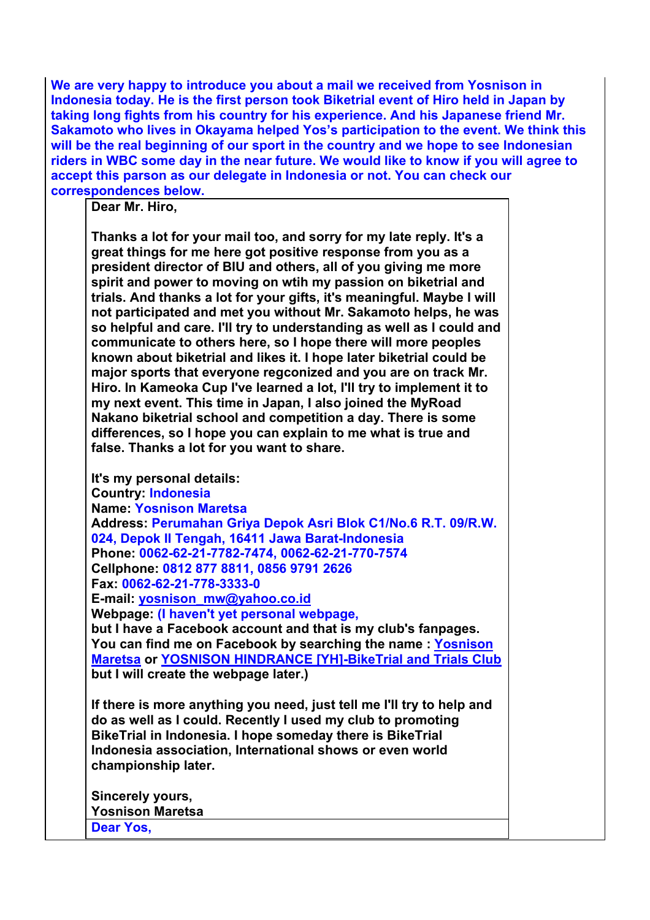**We are very happy to introduce you about a mail we received from Yosnison in Indonesia today. He is the first person took Biketrial event of Hiro held in Japan by taking long fights from his country for his experience. And his Japanese friend Mr. Sakamoto who lives in Okayama helped Yos's participation to the event. We think this will be the real beginning of our sport in the country and we hope to see Indonesian riders in WBC some day in the near future. We would like to know if you will agree to accept this parson as our delegate in Indonesia or not. You can check our correspondences below.** 

**Dear Mr. Hiro,** 

**Thanks a lot for your mail too, and sorry for my late reply. It's a great things for me here got positive response from you as a president director of BIU and others, all of you giving me more spirit and power to moving on wtih my passion on biketrial and trials. And thanks a lot for your gifts, it's meaningful. Maybe I will not participated and met you without Mr. Sakamoto helps, he was so helpful and care. I'll try to understanding as well as I could and communicate to others here, so I hope there will more peoples known about biketrial and likes it. I hope later biketrial could be major sports that everyone regconized and you are on track Mr. Hiro. In Kameoka Cup I've learned a lot, I'll try to implement it to my next event. This time in Japan, I also joined the MyRoad Nakano biketrial school and competition a day. There is some differences, so I hope you can explain to me what is true and false. Thanks a lot for you want to share.**

**It's my personal details: Country: Indonesia Name: Yosnison Maretsa Address: Perumahan Griya Depok Asri Blok C1/No.6 R.T. 09/R.W. 024, Depok II Tengah, 16411 Jawa Barat-Indonesia Phone: 0062-62-21-7782-7474, 0062-62-21-770-7574 Cellphone: 0812 877 8811, 0856 9791 2626 Fax: 0062-62-21-778-3333-0 E-mail: yosnison\_mw@yahoo.co.id Webpage: (I haven't yet personal webpage, but I have a Facebook account and that is my club's fanpages. You can find me on Facebook by searching the name : Yosnison Maretsa or YOSNISON HINDRANCE [YH]-BikeTrial and Trials Club but I will create the webpage later.) If there is more anything you need, just tell me I'll try to help and do as well as I could. Recently I used my club to promoting BikeTrial in Indonesia. I hope someday there is BikeTrial Indonesia association, International shows or even world championship later. Sincerely yours, Yosnison Maretsa Dear Yos,**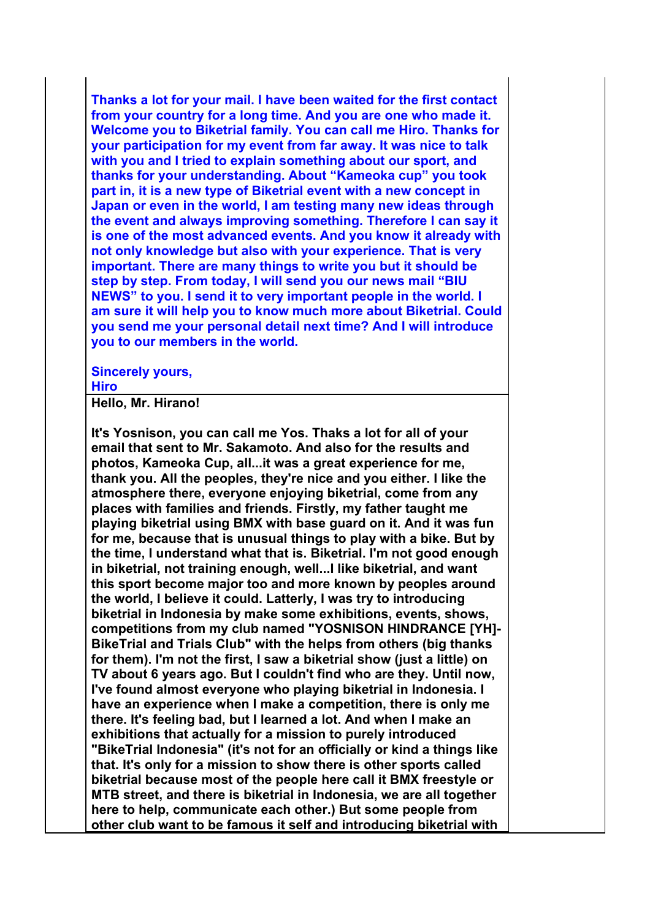**Thanks a lot for your mail. I have been waited for the first contact from your country for a long time. And you are one who made it. Welcome you to Biketrial family. You can call me Hiro. Thanks for your participation for my event from far away. It was nice to talk with you and I tried to explain something about our sport, and thanks for your understanding. About "Kameoka cup" you took part in, it is a new type of Biketrial event with a new concept in Japan or even in the world, I am testing many new ideas through the event and always improving something. Therefore I can say it is one of the most advanced events. And you know it already with not only knowledge but also with your experience. That is very important. There are many things to write you but it should be step by step. From today, I will send you our news mail "BIU NEWS" to you. I send it to very important people in the world. I am sure it will help you to know much more about Biketrial. Could you send me your personal detail next time? And I will introduce you to our members in the world.**

**Sincerely yours, Hiro**

**Hello, Mr. Hirano!** 

**It's Yosnison, you can call me Yos. Thaks a lot for all of your email that sent to Mr. Sakamoto. And also for the results and photos, Kameoka Cup, all...it was a great experience for me, thank you. All the peoples, they're nice and you either. I like the atmosphere there, everyone enjoying biketrial, come from any places with families and friends. Firstly, my father taught me playing biketrial using BMX with base guard on it. And it was fun for me, because that is unusual things to play with a bike. But by the time, I understand what that is. Biketrial. I'm not good enough in biketrial, not training enough, well...I like biketrial, and want this sport become major too and more known by peoples around the world, I believe it could. Latterly, I was try to introducing biketrial in Indonesia by make some exhibitions, events, shows, competitions from my club named "YOSNISON HINDRANCE [YH]- BikeTrial and Trials Club" with the helps from others (big thanks for them). I'm not the first, I saw a biketrial show (just a little) on TV about 6 years ago. But I couldn't find who are they. Until now, I've found almost everyone who playing biketrial in Indonesia. I have an experience when I make a competition, there is only me there. It's feeling bad, but I learned a lot. And when I make an exhibitions that actually for a mission to purely introduced "BikeTrial Indonesia" (it's not for an officially or kind a things like that. It's only for a mission to show there is other sports called biketrial because most of the people here call it BMX freestyle or MTB street, and there is biketrial in Indonesia, we are all together here to help, communicate each other.) But some people from other club want to be famous it self and introducing biketrial with**